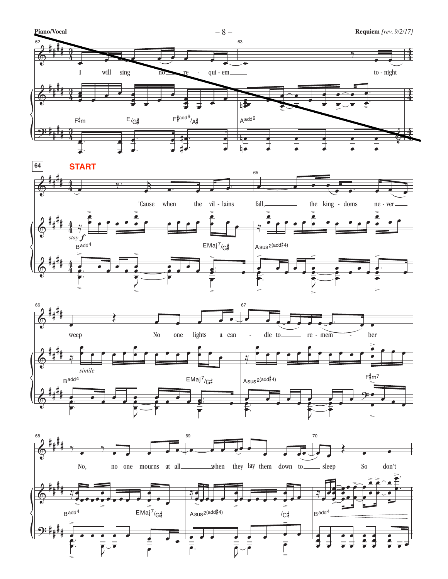





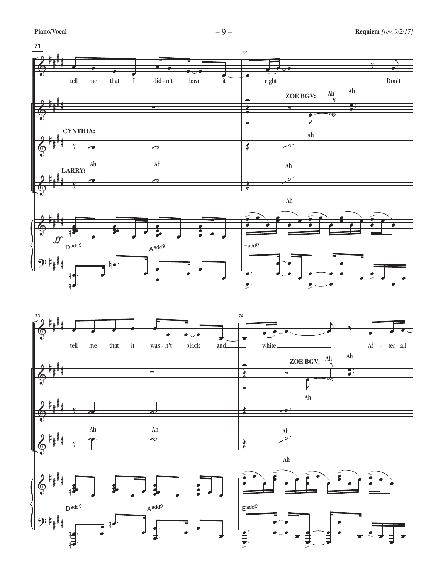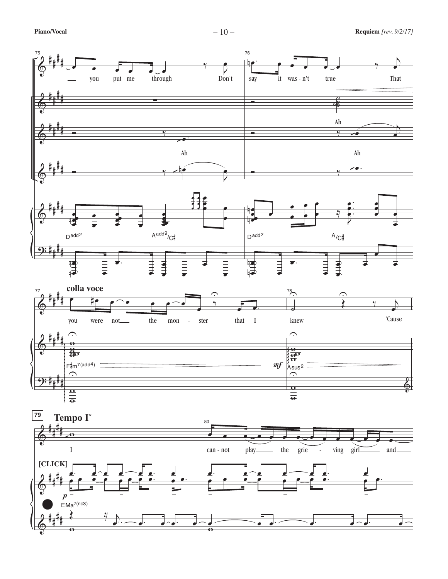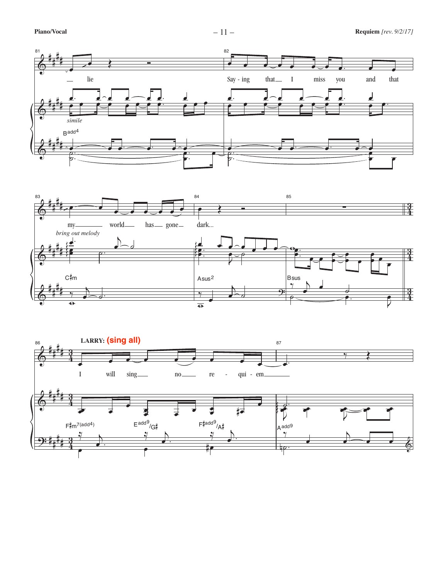